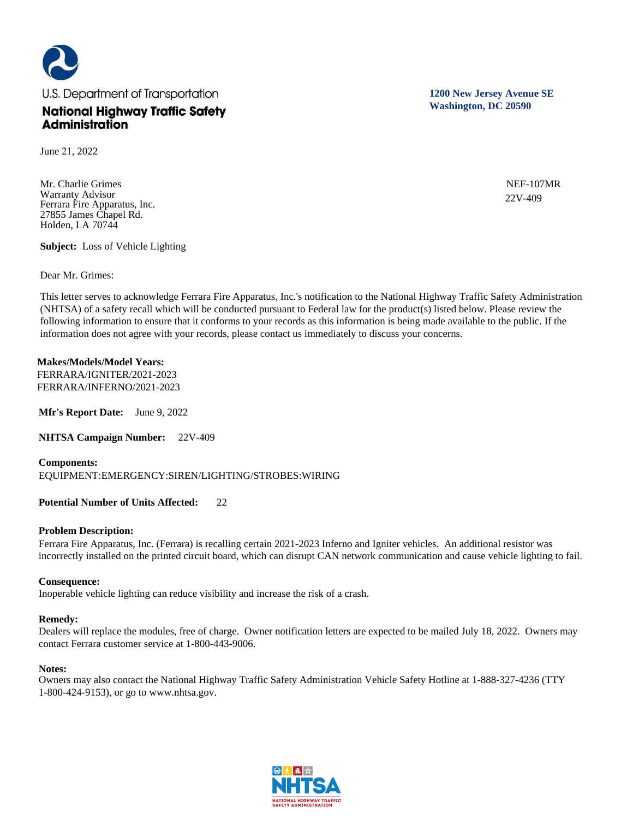

June 21, 2022

Mr. Charlie Grimes Warranty Advisor Ferrara Fire Apparatus, Inc. 27855 James Chapel Rd. Holden, LA 70744

**Subject:** Loss of Vehicle Lighting

Dear Mr. Grimes:

This letter serves to acknowledge Ferrara Fire Apparatus, Inc.'s notification to the National Highway Traffic Safety Administration (NHTSA) of a safety recall which will be conducted pursuant to Federal law for the product(s) listed below. Please review the following information to ensure that it conforms to your records as this information is being made available to the public. If the information does not agree with your records, please contact us immediately to discuss your concerns.

# **Makes/Models/Model Years:**

FERRARA/IGNITER/2021-2023 FERRARA/INFERNO/2021-2023

**Mfr's Report Date:** June 9, 2022

**NHTSA Campaign Number:** 22V-409

**Components:**  EQUIPMENT:EMERGENCY:SIREN/LIGHTING/STROBES:WIRING

# **Potential Number of Units Affected:** 22

# **Problem Description:**

Ferrara Fire Apparatus, Inc. (Ferrara) is recalling certain 2021-2023 Inferno and Igniter vehicles. An additional resistor was incorrectly installed on the printed circuit board, which can disrupt CAN network communication and cause vehicle lighting to fail.

# **Consequence:**

Inoperable vehicle lighting can reduce visibility and increase the risk of a crash.

# **Remedy:**

Dealers will replace the modules, free of charge. Owner notification letters are expected to be mailed July 18, 2022. Owners may contact Ferrara customer service at 1-800-443-9006.

# **Notes:**

Owners may also contact the National Highway Traffic Safety Administration Vehicle Safety Hotline at 1-888-327-4236 (TTY 1-800-424-9153), or go to www.nhtsa.gov.



**1200 New Jersey Avenue SE Washington, DC 20590**

> NEF-107MR 22V-409